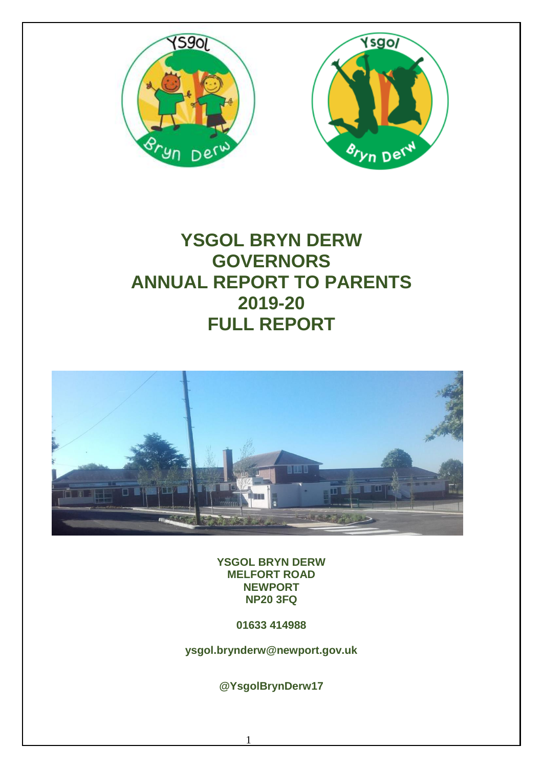



# **YSGOL BRYN DERW GOVERNORS ANNUAL REPORT TO PARENTS 2019-20 FULL REPORT**



**YSGOL BRYN DERW MELFORT ROAD NEWPORT NP20 3FQ**

**01633 414988**

**ysgol.brynderw@newport.gov.uk**

**@YsgolBrynDerw17**

1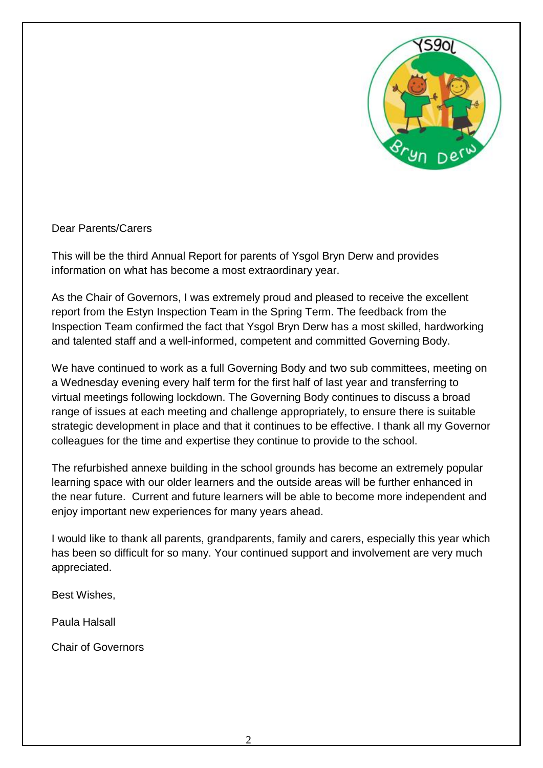

Dear Parents/Carers

This will be the third Annual Report for parents of Ysgol Bryn Derw and provides information on what has become a most extraordinary year.

As the Chair of Governors, I was extremely proud and pleased to receive the excellent report from the Estyn Inspection Team in the Spring Term. The feedback from the Inspection Team confirmed the fact that Ysgol Bryn Derw has a most skilled, hardworking and talented staff and a well-informed, competent and committed Governing Body.

We have continued to work as a full Governing Body and two sub committees, meeting on a Wednesday evening every half term for the first half of last year and transferring to virtual meetings following lockdown. The Governing Body continues to discuss a broad range of issues at each meeting and challenge appropriately, to ensure there is suitable strategic development in place and that it continues to be effective. I thank all my Governor colleagues for the time and expertise they continue to provide to the school.

The refurbished annexe building in the school grounds has become an extremely popular learning space with our older learners and the outside areas will be further enhanced in the near future. Current and future learners will be able to become more independent and enjoy important new experiences for many years ahead.

I would like to thank all parents, grandparents, family and carers, especially this year which has been so difficult for so many. Your continued support and involvement are very much appreciated.

Best Wishes,

Paula Halsall

Chair of Governors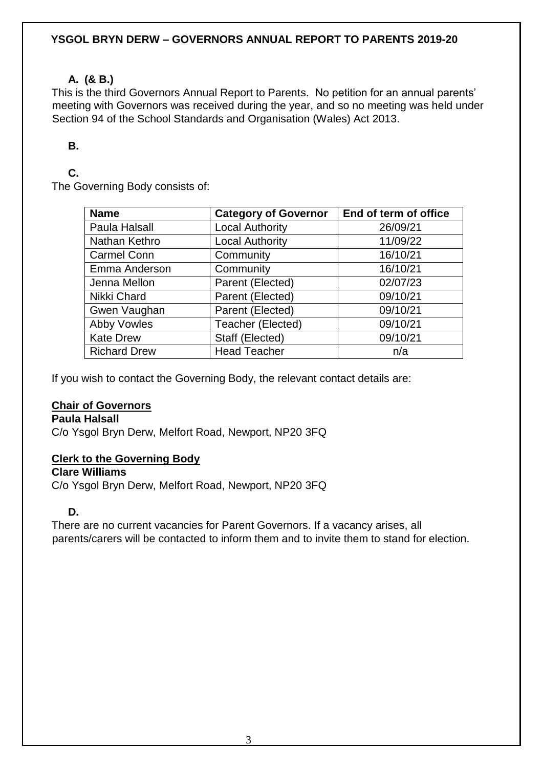### **YSGOL BRYN DERW – GOVERNORS ANNUAL REPORT TO PARENTS 2019-20**

# **A. (& B.)**

This is the third Governors Annual Report to Parents. No petition for an annual parents' meeting with Governors was received during the year, and so no meeting was held under Section 94 of the School Standards and Organisation (Wales) Act 2013.

# **B.**

# **C.**

The Governing Body consists of:

| <b>Name</b>         | <b>Category of Governor</b> | End of term of office |
|---------------------|-----------------------------|-----------------------|
| Paula Halsall       | Local Authority             | 26/09/21              |
| Nathan Kethro       | <b>Local Authority</b>      | 11/09/22              |
| <b>Carmel Conn</b>  | Community                   | 16/10/21              |
| Emma Anderson       | Community                   | 16/10/21              |
| Jenna Mellon        | Parent (Elected)            | 02/07/23              |
| Nikki Chard         | Parent (Elected)            | 09/10/21              |
| Gwen Vaughan        | Parent (Elected)            | 09/10/21              |
| <b>Abby Vowles</b>  | Teacher (Elected)           | 09/10/21              |
| <b>Kate Drew</b>    | Staff (Elected)             | 09/10/21              |
| <b>Richard Drew</b> | <b>Head Teacher</b>         | n/a                   |

If you wish to contact the Governing Body, the relevant contact details are:

# **Chair of Governors**

**Paula Halsall**

C/o Ysgol Bryn Derw, Melfort Road, Newport, NP20 3FQ

# **Clerk to the Governing Body**

**Clare Williams**

C/o Ysgol Bryn Derw, Melfort Road, Newport, NP20 3FQ

# **D.**

There are no current vacancies for Parent Governors. If a vacancy arises, all parents/carers will be contacted to inform them and to invite them to stand for election.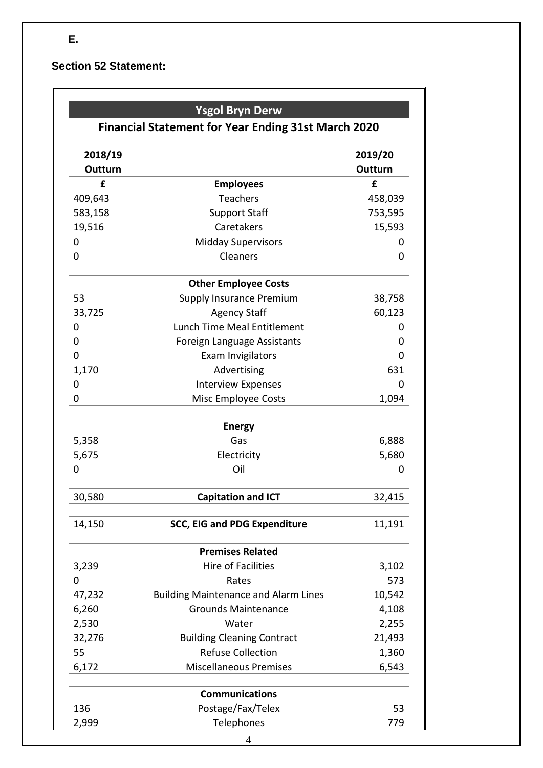**E.**

**Section 52 Statement:**

|                           | <b>Ysgol Bryn Derw</b><br><b>Financial Statement for Year Ending 31st March 2020</b> |                           |
|---------------------------|--------------------------------------------------------------------------------------|---------------------------|
| 2018/19<br><b>Outturn</b> |                                                                                      | 2019/20<br><b>Outturn</b> |
| £                         | <b>Employees</b>                                                                     | £                         |
| 409,643                   | <b>Teachers</b>                                                                      | 458,039                   |
| 583,158                   | <b>Support Staff</b>                                                                 | 753,595                   |
| 19,516                    | Caretakers                                                                           | 15,593                    |
| 0                         | <b>Midday Supervisors</b>                                                            | 0                         |
| 0                         | Cleaners                                                                             | 0                         |
|                           | <b>Other Employee Costs</b>                                                          |                           |
| 53                        | Supply Insurance Premium                                                             | 38,758                    |
| 33,725                    | <b>Agency Staff</b>                                                                  | 60,123                    |
| 0                         | <b>Lunch Time Meal Entitlement</b>                                                   | 0                         |
| 0                         | Foreign Language Assistants                                                          | 0                         |
| 0                         | Exam Invigilators                                                                    | 0                         |
| 1,170                     | Advertising                                                                          | 631                       |
| 0                         | <b>Interview Expenses</b>                                                            | 0                         |
| 0                         | Misc Employee Costs                                                                  | 1,094                     |
|                           | <b>Energy</b>                                                                        |                           |
| 5,358                     | Gas                                                                                  | 6,888                     |
| 5,675                     | Electricity                                                                          | 5,680                     |
| 0                         | Oil                                                                                  | O                         |
| 30,580                    | <b>Capitation and ICT</b>                                                            | 32,415                    |
| 14,150                    | <b>SCC, EIG and PDG Expenditure</b>                                                  | 11,191                    |
|                           | <b>Premises Related</b>                                                              |                           |
| 3,239                     | <b>Hire of Facilities</b>                                                            | 3,102                     |
| 0                         | Rates                                                                                | 573                       |
| 47,232                    | <b>Building Maintenance and Alarm Lines</b>                                          | 10,542                    |
| 6,260                     | <b>Grounds Maintenance</b>                                                           | 4,108                     |
| 2,530                     | Water                                                                                | 2,255                     |
| 32,276                    | <b>Building Cleaning Contract</b>                                                    | 21,493                    |
| 55                        | <b>Refuse Collection</b>                                                             | 1,360                     |
| 6,172                     | <b>Miscellaneous Premises</b>                                                        | 6,543                     |
|                           | <b>Communications</b>                                                                |                           |
| 136                       | Postage/Fax/Telex                                                                    | 53                        |
| 2,999                     | Telephones                                                                           | 779                       |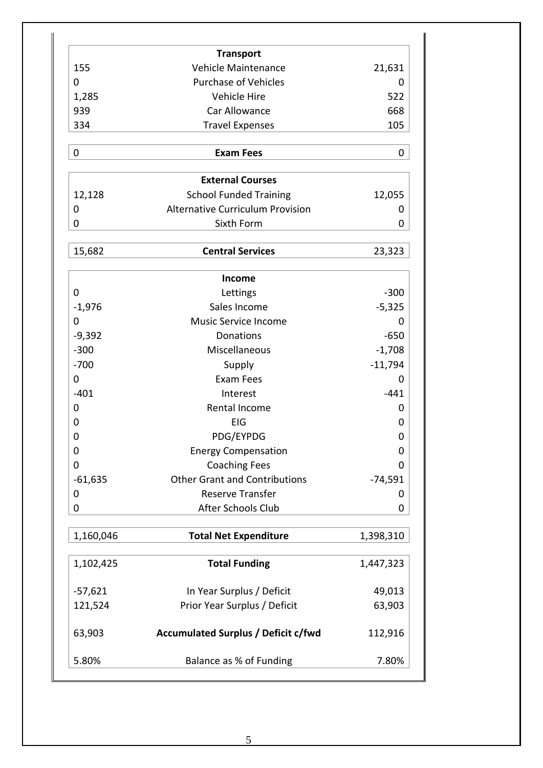|           | <b>Transport</b>                                         |           |
|-----------|----------------------------------------------------------|-----------|
| 155       | Vehicle Maintenance                                      | 21,631    |
| 0         | <b>Purchase of Vehicles</b>                              | Ω         |
| 1,285     | Vehicle Hire                                             | 522       |
| 939       | Car Allowance                                            | 668       |
| 334       | <b>Travel Expenses</b>                                   | 105       |
| 0         | <b>Exam Fees</b>                                         | 0         |
|           |                                                          |           |
| 12,128    | <b>External Courses</b><br><b>School Funded Training</b> | 12,055    |
| 0         | <b>Alternative Curriculum Provision</b>                  | 0         |
| 0         | Sixth Form                                               | 0         |
|           |                                                          |           |
| 15,682    | <b>Central Services</b>                                  | 23,323    |
|           | <b>Income</b>                                            |           |
| 0         | Lettings                                                 | $-300$    |
| $-1,976$  | Sales Income                                             | $-5,325$  |
| 0         | <b>Music Service Income</b>                              | 0         |
| $-9,392$  | Donations                                                | $-650$    |
| $-300$    | Miscellaneous                                            | $-1,708$  |
| $-700$    | Supply                                                   | $-11,794$ |
| 0         | <b>Exam Fees</b>                                         | O         |
| $-401$    | Interest                                                 | $-441$    |
| 0         | Rental Income                                            | 0         |
| 0         | EIG                                                      | 0         |
| 0         | PDG/EYPDG                                                | 0         |
| 0         | <b>Energy Compensation</b>                               | 0         |
| 0         | <b>Coaching Fees</b>                                     | 0         |
| $-61,635$ | <b>Other Grant and Contributions</b>                     | $-74,591$ |
| 0         | <b>Reserve Transfer</b>                                  | Ő         |
| 0         | After Schools Club                                       | 0         |
| 1,160,046 | <b>Total Net Expenditure</b>                             | 1,398,310 |
| 1,102,425 | <b>Total Funding</b>                                     | 1,447,323 |
| $-57,621$ | In Year Surplus / Deficit                                | 49,013    |
| 121,524   | Prior Year Surplus / Deficit                             | 63,903    |
| 63,903    | <b>Accumulated Surplus / Deficit c/fwd</b>               | 112,916   |
|           |                                                          |           |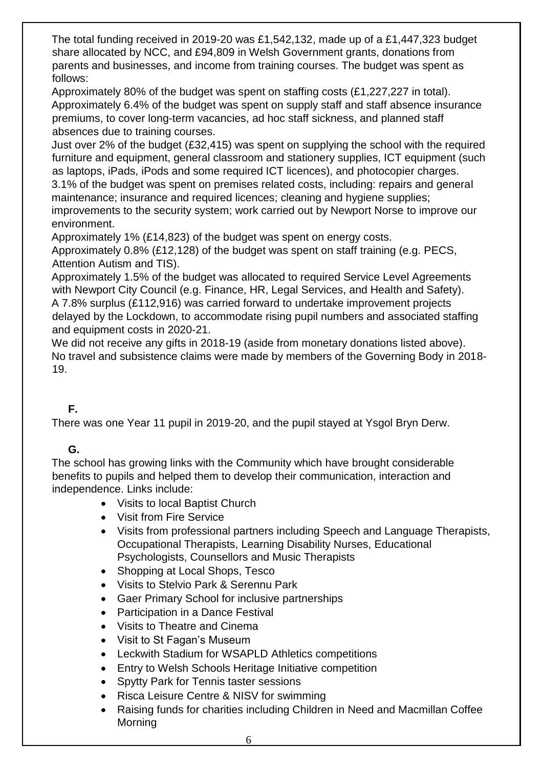The total funding received in 2019-20 was £1,542,132, made up of a £1,447,323 budget share allocated by NCC, and £94,809 in Welsh Government grants, donations from parents and businesses, and income from training courses. The budget was spent as follows:

Approximately 80% of the budget was spent on staffing costs (£1,227,227 in total). Approximately 6.4% of the budget was spent on supply staff and staff absence insurance premiums, to cover long-term vacancies, ad hoc staff sickness, and planned staff absences due to training courses.

Just over 2% of the budget (£32,415) was spent on supplying the school with the required furniture and equipment, general classroom and stationery supplies, ICT equipment (such as laptops, iPads, iPods and some required ICT licences), and photocopier charges. 3.1% of the budget was spent on premises related costs, including: repairs and general

maintenance; insurance and required licences; cleaning and hygiene supplies; improvements to the security system; work carried out by Newport Norse to improve our environment.

Approximately 1% (£14,823) of the budget was spent on energy costs.

Approximately 0.8% (£12,128) of the budget was spent on staff training (e.g. PECS, Attention Autism and TIS).

Approximately 1.5% of the budget was allocated to required Service Level Agreements with Newport City Council (e.g. Finance, HR, Legal Services, and Health and Safety). A 7.8% surplus (£112,916) was carried forward to undertake improvement projects delayed by the Lockdown, to accommodate rising pupil numbers and associated staffing and equipment costs in 2020-21.

We did not receive any gifts in 2018-19 (aside from monetary donations listed above). No travel and subsistence claims were made by members of the Governing Body in 2018- 19.

# **F.**

There was one Year 11 pupil in 2019-20, and the pupil stayed at Ysgol Bryn Derw.

# **G.**

The school has growing links with the Community which have brought considerable benefits to pupils and helped them to develop their communication, interaction and independence. Links include:

- Visits to local Baptist Church
- Visit from Fire Service
- Visits from professional partners including Speech and Language Therapists, Occupational Therapists, Learning Disability Nurses, Educational Psychologists, Counsellors and Music Therapists
- Shopping at Local Shops, Tesco
- Visits to Stelvio Park & Serennu Park
- Gaer Primary School for inclusive partnerships
- Participation in a Dance Festival
- Visits to Theatre and Cinema
- Visit to St Fagan's Museum
- Leckwith Stadium for WSAPLD Athletics competitions
- Entry to Welsh Schools Heritage Initiative competition
- Spytty Park for Tennis taster sessions
- Risca Leisure Centre & NISV for swimming
- Raising funds for charities including Children in Need and Macmillan Coffee Morning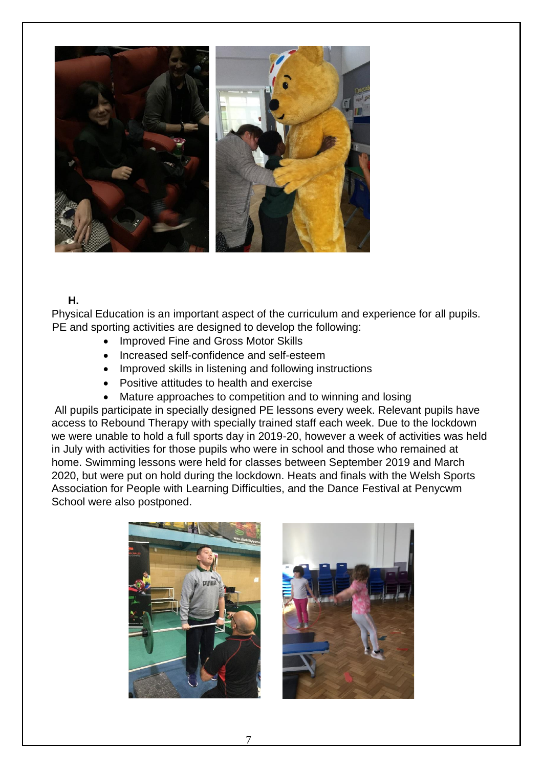

#### **H.**

Physical Education is an important aspect of the curriculum and experience for all pupils. PE and sporting activities are designed to develop the following:

- Improved Fine and Gross Motor Skills
- Increased self-confidence and self-esteem
- Improved skills in listening and following instructions
- Positive attitudes to health and exercise
- Mature approaches to competition and to winning and losing

All pupils participate in specially designed PE lessons every week. Relevant pupils have access to Rebound Therapy with specially trained staff each week. Due to the lockdown we were unable to hold a full sports day in 2019-20, however a week of activities was held in July with activities for those pupils who were in school and those who remained at home. Swimming lessons were held for classes between September 2019 and March 2020, but were put on hold during the lockdown. Heats and finals with the Welsh Sports Association for People with Learning Difficulties, and the Dance Festival at Penycwm School were also postponed.

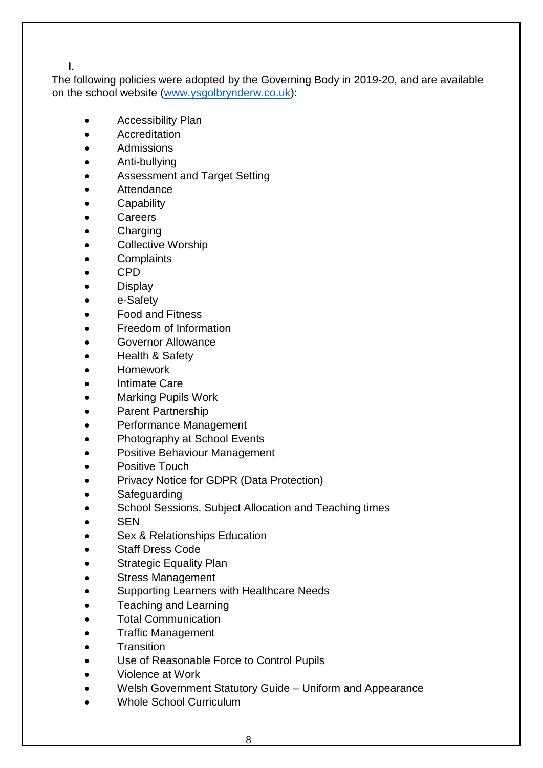**I.**

The following policies were adopted by the Governing Body in 2019-20, and are available on the school website [\(www.ysgolbrynderw.co.uk\)](http://www.ysgolbrynderw.co.uk/):

- Accessibility Plan
- **•** Accreditation
- Admissions
- Anti-bullying
- Assessment and Target Setting
- **Attendance**
- **•** Capability
- **Careers**
- Charging
- Collective Worship
- **Complaints**
- CPD
- **Display**
- e-Safety
- Food and Fitness
- Freedom of Information
- Governor Allowance
- Health & Safety
- Homework
- Intimate Care
- Marking Pupils Work
- Parent Partnership
- Performance Management
- Photography at School Events
- Positive Behaviour Management
- Positive Touch
- Privacy Notice for GDPR (Data Protection)
- Safeguarding
- School Sessions, Subject Allocation and Teaching times
- SEN
- Sex & Relationships Education
- Staff Dress Code
- Strategic Equality Plan
- Stress Management
- Supporting Learners with Healthcare Needs
- Teaching and Learning
- Total Communication
- Traffic Management
- **Transition**
- Use of Reasonable Force to Control Pupils
- Violence at Work
- Welsh Government Statutory Guide Uniform and Appearance
- Whole School Curriculum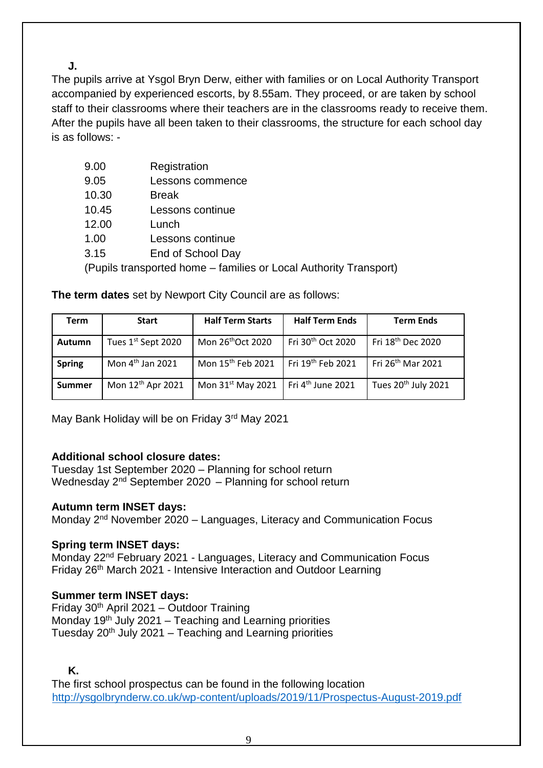**J.**

The pupils arrive at Ysgol Bryn Derw, either with families or on Local Authority Transport accompanied by experienced escorts, by 8.55am. They proceed, or are taken by school staff to their classrooms where their teachers are in the classrooms ready to receive them. After the pupils have all been taken to their classrooms, the structure for each school day is as follows: -

| 9.00 | Registration   |  |
|------|----------------|--|
| ח ה  | Locono commoni |  |

- 9.05 Lessons commence
- 10.30 Break
- 10.45 Lessons continue
- 12.00 Lunch
- 1.00 Lessons continue
- 3.15 End of School Day

(Pupils transported home – families or Local Authority Transport)

| Term          | <b>Start</b>                 | <b>Half Term Starts</b>       | <b>Half Term Ends</b>         | <b>Term Ends</b>                |
|---------------|------------------------------|-------------------------------|-------------------------------|---------------------------------|
| Autumn        | Tues 1st Sept 2020           | Mon 26 <sup>th</sup> Oct 2020 | Fri 30 <sup>th</sup> Oct 2020 | Fri 18 <sup>th</sup> Dec 2020   |
| <b>Spring</b> | Mon 4 <sup>th</sup> Jan 2021 | Mon 15 <sup>th</sup> Feb 2021 | Fri 19 <sup>th</sup> Feb 2021 | Fri 26 <sup>th</sup> Mar 2021   |
| <b>Summer</b> | Mon 12th Apr 2021            | Mon 31 <sup>st</sup> May 2021 | Fri 4 <sup>th</sup> June 2021 | Tues 20 <sup>th</sup> July 2021 |

**The term dates** set by Newport City Council are as follows:

May Bank Holiday will be on Friday 3rd May 2021

# **Additional school closure dates:**

Tuesday 1st September 2020 – Planning for school return Wednesday  $2^{nd}$  September 2020 – Planning for school return

# **Autumn term INSET days:**

Monday 2nd November 2020 – Languages, Literacy and Communication Focus

# **Spring term INSET days:**

Monday 22<sup>nd</sup> February 2021 - Languages, Literacy and Communication Focus Friday 26<sup>th</sup> March 2021 - Intensive Interaction and Outdoor Learning

# **Summer term INSET days:**

Friday 30th April 2021 – Outdoor Training Monday  $19<sup>th</sup>$  July 2021 – Teaching and Learning priorities Tuesday  $20<sup>th</sup>$  July 2021 – Teaching and Learning priorities

**K.**

The first school prospectus can be found in the following location <http://ysgolbrynderw.co.uk/wp-content/uploads/2019/11/Prospectus-August-2019.pdf>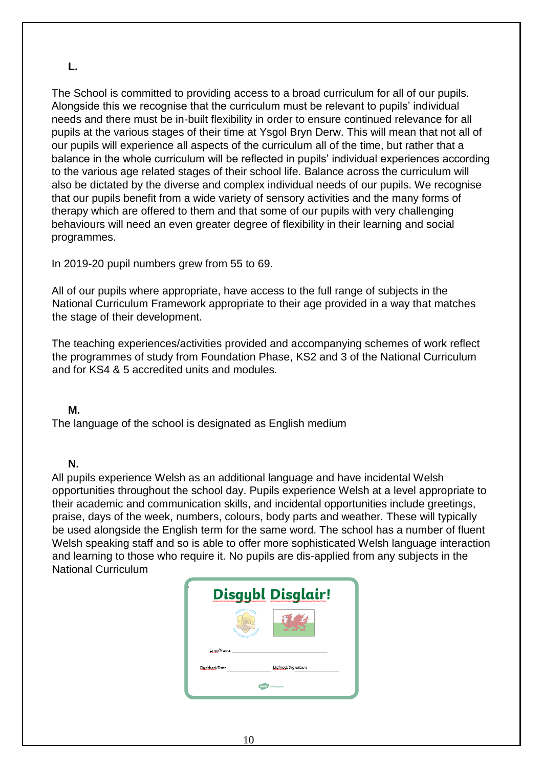# **L.**

The School is committed to providing access to a broad curriculum for all of our pupils. Alongside this we recognise that the curriculum must be relevant to pupils' individual needs and there must be in-built flexibility in order to ensure continued relevance for all pupils at the various stages of their time at Ysgol Bryn Derw. This will mean that not all of our pupils will experience all aspects of the curriculum all of the time, but rather that a balance in the whole curriculum will be reflected in pupils' individual experiences according to the various age related stages of their school life. Balance across the curriculum will also be dictated by the diverse and complex individual needs of our pupils. We recognise that our pupils benefit from a wide variety of sensory activities and the many forms of therapy which are offered to them and that some of our pupils with very challenging behaviours will need an even greater degree of flexibility in their learning and social programmes.

In 2019-20 pupil numbers grew from 55 to 69.

All of our pupils where appropriate, have access to the full range of subjects in the National Curriculum Framework appropriate to their age provided in a way that matches the stage of their development.

The teaching experiences/activities provided and accompanying schemes of work reflect the programmes of study from Foundation Phase, KS2 and 3 of the National Curriculum and for KS4 & 5 accredited units and modules.

#### **M.**

The language of the school is designated as English medium

# **N.**

All pupils experience Welsh as an additional language and have incidental Welsh opportunities throughout the school day. Pupils experience Welsh at a level appropriate to their academic and communication skills, and incidental opportunities include greetings, praise, days of the week, numbers, colours, body parts and weather. These will typically be used alongside the English term for the same word. The school has a number of fluent Welsh speaking staff and so is able to offer more sophisticated Welsh language interaction and learning to those who require it. No pupils are dis-applied from any subjects in the National Curriculum